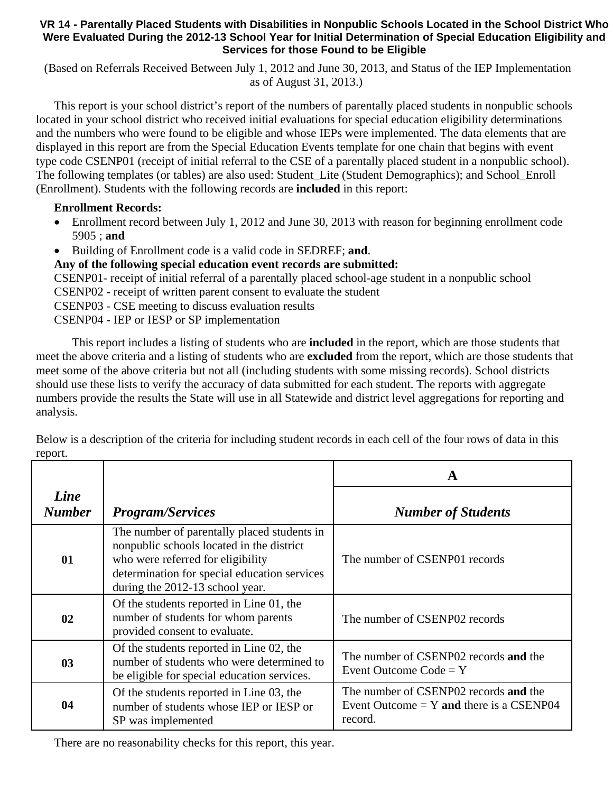## **VR 14 - Parentally Placed Students with Disabilities in Nonpublic Schools Located in the School District Who Were Evaluated During the 2012-13 School Year for Initial Determination of Special Education Eligibility and Services for those Found to be Eligible**

 (Based on Referrals Received Between July 1, 2012 and June 30, 2013, and Status of the IEP Implementation as of August 31, 2013.)

This report is your school district's report of the numbers of parentally placed students in nonpublic schools located in your school district who received initial evaluations for special education eligibility determinations and the numbers who were found to be eligible and whose IEPs were implemented. The data elements that are displayed in this report are from the Special Education Events template for one chain that begins with event type code CSENP01 (receipt of initial referral to the CSE of a parentally placed student in a nonpublic school). The following templates (or tables) are also used: Student\_Lite (Student Demographics); and School\_Enroll (Enrollment). Students with the following records are **included** in this report:

## **Enrollment Records:**

- Enrollment record between July 1, 2012 and June 30, 2013 with reason for beginning enrollment code 5905 ; **and**
- Building of Enrollment code is a valid code in SEDREF; **and**.

## **Any of the following special education event records are submitted:**

CSENP01- receipt of initial referral of a parentally placed school-age student in a nonpublic school CSENP02 - receipt of written parent consent to evaluate the student

CSENP03 - CSE meeting to discuss evaluation results

CSENP04 - IEP or IESP or SP implementation

 This report includes a listing of students who are **included** in the report, which are those students that meet the above criteria and a listing of students who are **excluded** from the report, which are those students that meet some of the above criteria but not all (including students with some missing records). School districts should use these lists to verify the accuracy of data submitted for each student. The reports with aggregate numbers provide the results the State will use in all Statewide and district level aggregations for reporting and analysis.

|                       |                                                                                                                                                                                                                  | A                                                                                              |  |
|-----------------------|------------------------------------------------------------------------------------------------------------------------------------------------------------------------------------------------------------------|------------------------------------------------------------------------------------------------|--|
| Line<br><b>Number</b> | <b>Program/Services</b>                                                                                                                                                                                          | <b>Number of Students</b>                                                                      |  |
| 01                    | The number of parentally placed students in<br>nonpublic schools located in the district<br>who were referred for eligibility<br>determination for special education services<br>during the 2012-13 school year. | The number of CSENP01 records                                                                  |  |
| 02                    | Of the students reported in Line 01, the<br>number of students for whom parents<br>provided consent to evaluate.                                                                                                 | The number of CSENP02 records                                                                  |  |
| 0 <sub>3</sub>        | Of the students reported in Line 02, the<br>number of students who were determined to<br>be eligible for special education services.                                                                             | The number of CSENP02 records and the<br>Event Outcome $Code = Y$                              |  |
| 04                    | Of the students reported in Line 03, the<br>number of students whose IEP or IESP or<br>SP was implemented                                                                                                        | The number of CSENP02 records and the<br>Event Outcome $= Y$ and there is a CSENP04<br>record. |  |

Below is a description of the criteria for including student records in each cell of the four rows of data in this report.

There are no reasonability checks for this report, this year.